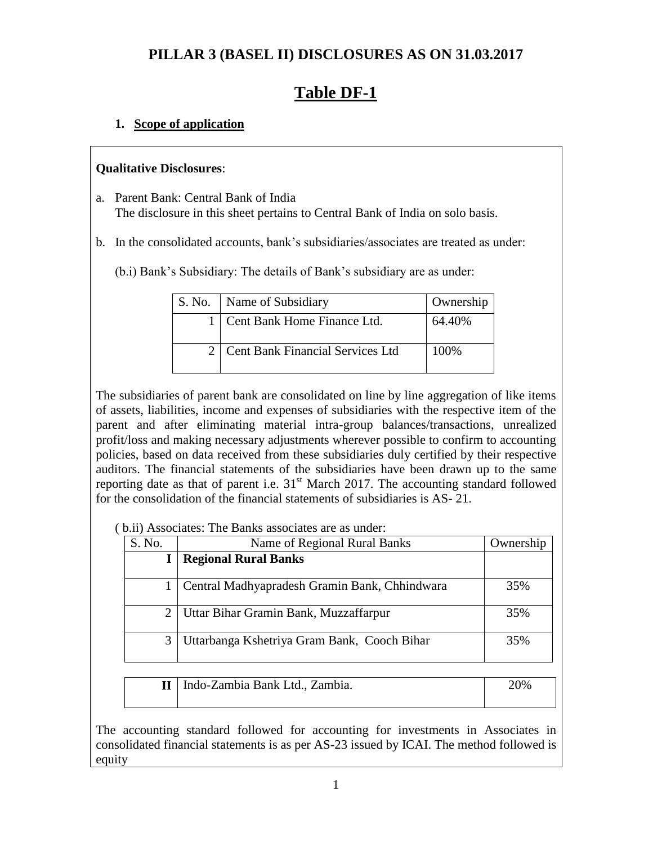# **PILLAR 3 (BASEL II) DISCLOSURES AS ON 31.03.2017**

# **Table DF-1**

#### **1. Scope of application**

#### **Qualitative Disclosures**:

- a. Parent Bank: Central Bank of India The disclosure in this sheet pertains to Central Bank of India on solo basis.
- b. In the consolidated accounts, bank"s subsidiaries/associates are treated as under:
	- (b.i) Bank"s Subsidiary: The details of Bank"s subsidiary are as under:

| S. No. | Name of Subsidiary                   | Ownership |
|--------|--------------------------------------|-----------|
|        | 1   Cent Bank Home Finance Ltd.      | 64.40%    |
|        | 2   Cent Bank Financial Services Ltd | 100\%     |

The subsidiaries of parent bank are consolidated on line by line aggregation of like items of assets, liabilities, income and expenses of subsidiaries with the respective item of the parent and after eliminating material intra-group balances/transactions, unrealized profit/loss and making necessary adjustments wherever possible to confirm to accounting policies, based on data received from these subsidiaries duly certified by their respective auditors. The financial statements of the subsidiaries have been drawn up to the same reporting date as that of parent i.e.  $31<sup>st</sup>$  March 2017. The accounting standard followed for the consolidation of the financial statements of subsidiaries is AS- 21.

( b.ii) Associates: The Banks associates are as under:

| S. No. | Name of Regional Rural Banks                  | Ownership |
|--------|-----------------------------------------------|-----------|
|        | <b>Regional Rural Banks</b>                   |           |
|        | Central Madhyapradesh Gramin Bank, Chhindwara | 35%       |
|        | Uttar Bihar Gramin Bank, Muzzaffarpur         | 35%       |
|        | Uttarbanga Kshetriya Gram Bank, Cooch Bihar   | 35%       |

| II   Indo-Zambia Bank Ltd., Zambia. | 20% |
|-------------------------------------|-----|
|                                     |     |

The accounting standard followed for accounting for investments in Associates in consolidated financial statements is as per AS-23 issued by ICAI. The method followed is equity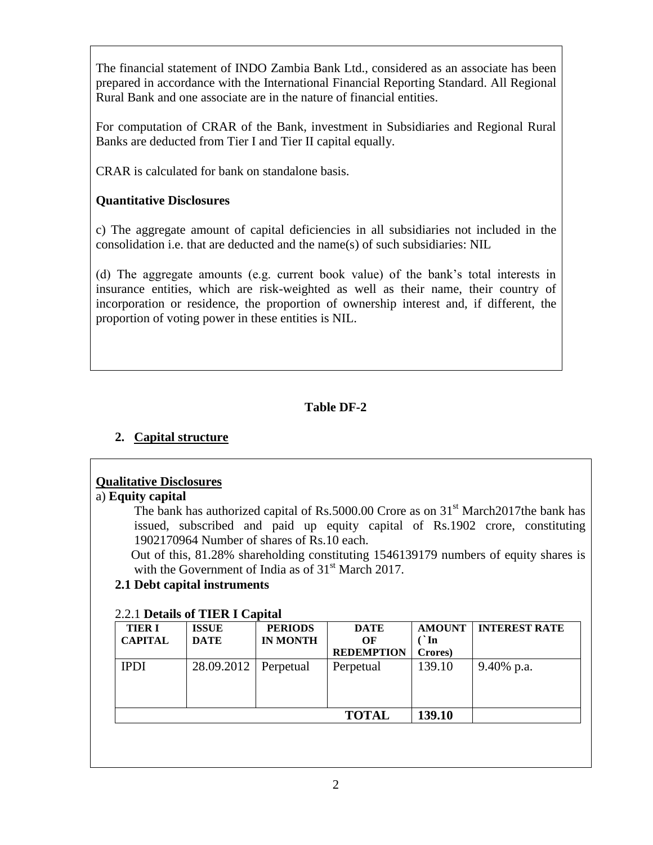The financial statement of INDO Zambia Bank Ltd., considered as an associate has been prepared in accordance with the International Financial Reporting Standard. All Regional Rural Bank and one associate are in the nature of financial entities.

For computation of CRAR of the Bank, investment in Subsidiaries and Regional Rural Banks are deducted from Tier I and Tier II capital equally.

CRAR is calculated for bank on standalone basis.

### **Quantitative Disclosures**

c) The aggregate amount of capital deficiencies in all subsidiaries not included in the consolidation i.e. that are deducted and the name(s) of such subsidiaries: NIL

(d) The aggregate amounts (e.g. current book value) of the bank"s total interests in insurance entities, which are risk-weighted as well as their name, their country of incorporation or residence, the proportion of ownership interest and, if different, the proportion of voting power in these entities is NIL.

# **Table DF-2**

# **2. Capital structure**

#### **Qualitative Disclosures**

#### a) **Equity capital**

The bank has authorized capital of Rs.5000.00 Crore as on  $31<sup>st</sup>$  March2017the bank has issued, subscribed and paid up equity capital of Rs.1902 crore, constituting 1902170964 Number of shares of Rs.10 each.

 Out of this, 81.28% shareholding constituting 1546139179 numbers of equity shares is with the Government of India as of  $31<sup>st</sup>$  March 2017.

#### **2.1 Debt capital instruments**

#### 2.2.1 **Details of TIER I Capital**

| <b>TIER I</b><br><b>CAPITAL</b> | <b>ISSUE</b><br><b>DATE</b> | <b>PERIODS</b><br><b>IN MONTH</b> | <b>DATE</b><br>OF<br><b>REDEMPTION</b> | <b>AMOUNT</b><br>$\cdot$ In<br>Crores) | <b>INTEREST RATE</b> |
|---------------------------------|-----------------------------|-----------------------------------|----------------------------------------|----------------------------------------|----------------------|
| <b>IPDI</b>                     | 28.09.2012   Perpetual      |                                   | Perpetual                              | 139.10                                 | 9.40% p.a.           |
|                                 |                             |                                   | <b>TOTAL</b>                           | 139.10                                 |                      |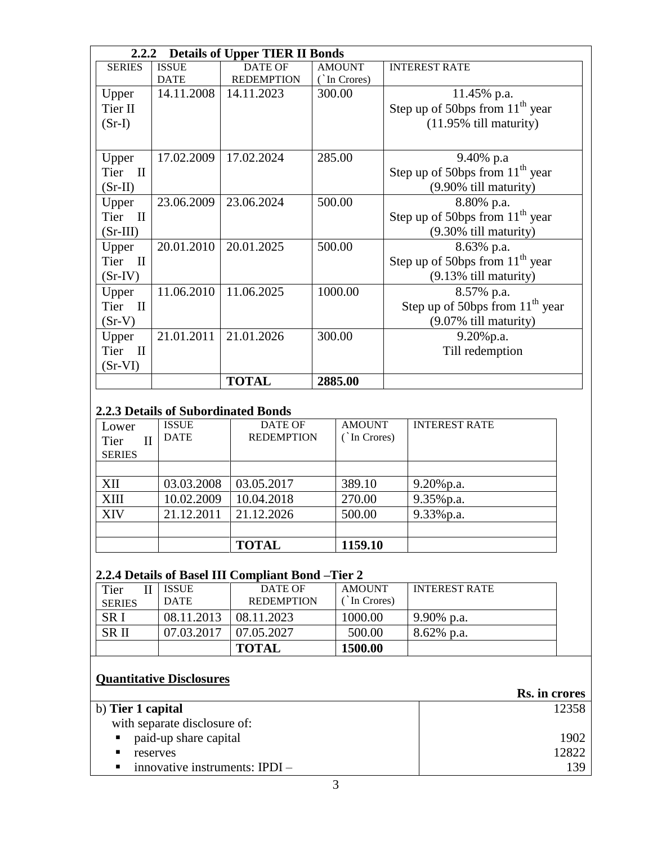|                      | 2.2.2<br><b>Details of Upper TIER II Bonds</b> |                   |               |                                   |  |  |
|----------------------|------------------------------------------------|-------------------|---------------|-----------------------------------|--|--|
| <b>SERIES</b>        | <b>ISSUE</b>                                   | <b>DATE OF</b>    | <b>AMOUNT</b> | <b>INTEREST RATE</b>              |  |  |
|                      | <b>DATE</b>                                    | <b>REDEMPTION</b> | (In Crores)   |                                   |  |  |
| Upper                | 14.11.2008                                     | 14.11.2023        | 300.00        | 11.45% p.a.                       |  |  |
| Tier II              |                                                |                   |               | Step up of 50bps from $11th$ year |  |  |
| $(Sr-I)$             |                                                |                   |               | $(11.95\%$ till maturity)         |  |  |
|                      |                                                |                   |               |                                   |  |  |
| Upper                | 17.02.2009                                     | 17.02.2024        | 285.00        | 9.40% p.a                         |  |  |
| Tier II              |                                                |                   |               | Step up of 50bps from $11th$ year |  |  |
| $(Sr-II)$            |                                                |                   |               | (9.90% till maturity)             |  |  |
| Upper                | 23.06.2009                                     | 23.06.2024        | 500.00        | 8.80% p.a.                        |  |  |
| Tier II              |                                                |                   |               | Step up of 50bps from $11th$ year |  |  |
| $(Sr-III)$           |                                                |                   |               | (9.30% till maturity)             |  |  |
| Upper                | 20.01.2010                                     | 20.01.2025        | 500.00        | 8.63% p.a.                        |  |  |
| Tier II              |                                                |                   |               | Step up of 50bps from $11th$ year |  |  |
| $(Sr-IV)$            |                                                |                   |               | (9.13% till maturity)             |  |  |
| Upper                | 11.06.2010                                     | 11.06.2025        | 1000.00       | 8.57% p.a.                        |  |  |
| Tier II              |                                                |                   |               | Step up of 50bps from $11th$ year |  |  |
| $(Sr-V)$             |                                                |                   |               | (9.07% till maturity)             |  |  |
| Upper                | 21.01.2011                                     | 21.01.2026        | 300.00        | $9.20\%$ p.a.                     |  |  |
| Tier<br>$\mathbf{I}$ |                                                |                   |               | Till redemption                   |  |  |
| $(Sr-VI)$            |                                                |                   |               |                                   |  |  |
|                      |                                                | <b>TOTAL</b>      | 2885.00       |                                   |  |  |

#### **2.2.3 Details of Subordinated Bonds**

| Lower         |   | <b>ISSUE</b> | DATE OF           | <b>AMOUNT</b> | <b>INTEREST RATE</b> |
|---------------|---|--------------|-------------------|---------------|----------------------|
| Tier          | Н | <b>DATE</b>  | <b>REDEMPTION</b> | In Crores)    |                      |
| <b>SERIES</b> |   |              |                   |               |                      |
|               |   |              |                   |               |                      |
| XII           |   | 03.03.2008   | 03.05.2017        | 389.10        | $9.20\%$ p.a.        |
| <b>XIII</b>   |   | 10.02.2009   | 10.04.2018        | 270.00        | 9.35% p.a.           |
| XIV           |   | 21.12.2011   | 21.12.2026        | 500.00        | 9.33% p.a.           |
|               |   |              |                   |               |                      |
|               |   |              | <b>TOTAL</b>      | 1159.10       |                      |

# **2.2.4 Details of Basel III Compliant Bond –Tier 2**

| Tier<br><b>SERIES</b> | <b>ISSUE</b><br><b>DATE</b> | DATE OF<br><b>REDEMPTION</b> | <b>AMOUNT</b><br>In Crores) | <b>INTEREST RATE</b> |
|-----------------------|-----------------------------|------------------------------|-----------------------------|----------------------|
| SR <sub>I</sub>       | 08.11.2013                  | 08.11.2023                   | 1000.00                     | $9.90\%$ p.a.        |
| <b>SRII</b>           | 07.03.2017                  | 07.05.2027                   | 500.00                      | $8.62\%$ p.a.        |
|                       |                             | <b>TOTAL</b>                 | 1500.00                     |                      |

# **Quantitative Disclosures**

|                                                    | Rs. in crores |
|----------------------------------------------------|---------------|
| b) Tier 1 capital                                  | 12358         |
| with separate disclosure of:                       |               |
| paid-up share capital<br>$\blacksquare$ .          | 1902          |
| ٠<br>reserves                                      | 12822         |
| innovative instruments: $IPDI -$<br>$\blacksquare$ | 139           |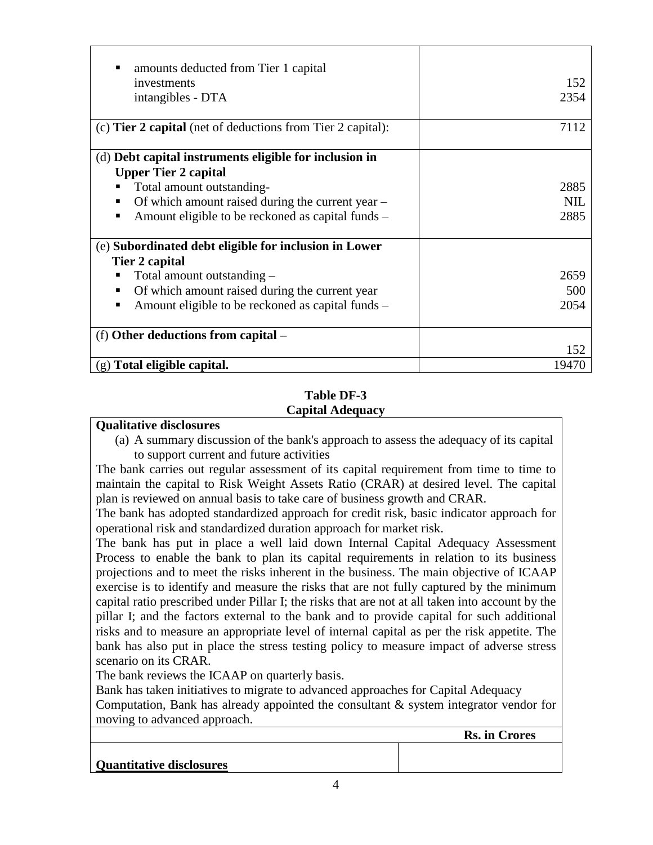| amounts deducted from Tier 1 capital                               |            |
|--------------------------------------------------------------------|------------|
| investments                                                        | 152        |
|                                                                    |            |
| intangibles - DTA                                                  | 2354       |
| (c) <b>Tier 2 capital</b> (net of deductions from Tier 2 capital): | 7112       |
|                                                                    |            |
| (d) Debt capital instruments eligible for inclusion in             |            |
| <b>Upper Tier 2 capital</b>                                        |            |
| Total amount outstanding-                                          | 2885       |
| Of which amount raised during the current year –                   | <b>NIL</b> |
| Amount eligible to be reckoned as capital funds –                  | 2885       |
|                                                                    |            |
| (e) Subordinated debt eligible for inclusion in Lower              |            |
| Tier 2 capital                                                     |            |
| Total amount outstanding –                                         | 2659       |
| Of which amount raised during the current year                     | 500        |
| Amount eligible to be reckoned as capital funds –                  | 2054       |
|                                                                    |            |
| (f) Other deductions from capital –                                |            |
|                                                                    | 152        |
| $(g)$ Total eligible capital.                                      | 19470      |

#### **Table DF-3 Capital Adequacy**

#### **Qualitative disclosures**

(a) A summary discussion of the bank's approach to assess the adequacy of its capital to support current and future activities

The bank carries out regular assessment of its capital requirement from time to time to maintain the capital to Risk Weight Assets Ratio (CRAR) at desired level. The capital plan is reviewed on annual basis to take care of business growth and CRAR.

The bank has adopted standardized approach for credit risk, basic indicator approach for operational risk and standardized duration approach for market risk.

The bank has put in place a well laid down Internal Capital Adequacy Assessment Process to enable the bank to plan its capital requirements in relation to its business projections and to meet the risks inherent in the business. The main objective of ICAAP exercise is to identify and measure the risks that are not fully captured by the minimum capital ratio prescribed under Pillar I; the risks that are not at all taken into account by the pillar I; and the factors external to the bank and to provide capital for such additional risks and to measure an appropriate level of internal capital as per the risk appetite. The bank has also put in place the stress testing policy to measure impact of adverse stress scenario on its CRAR.

The bank reviews the ICAAP on quarterly basis.

Bank has taken initiatives to migrate to advanced approaches for Capital Adequacy Computation, Bank has already appointed the consultant & system integrator vendor for moving to advanced approach.

 **Rs. in Crores**

**Quantitative disclosures**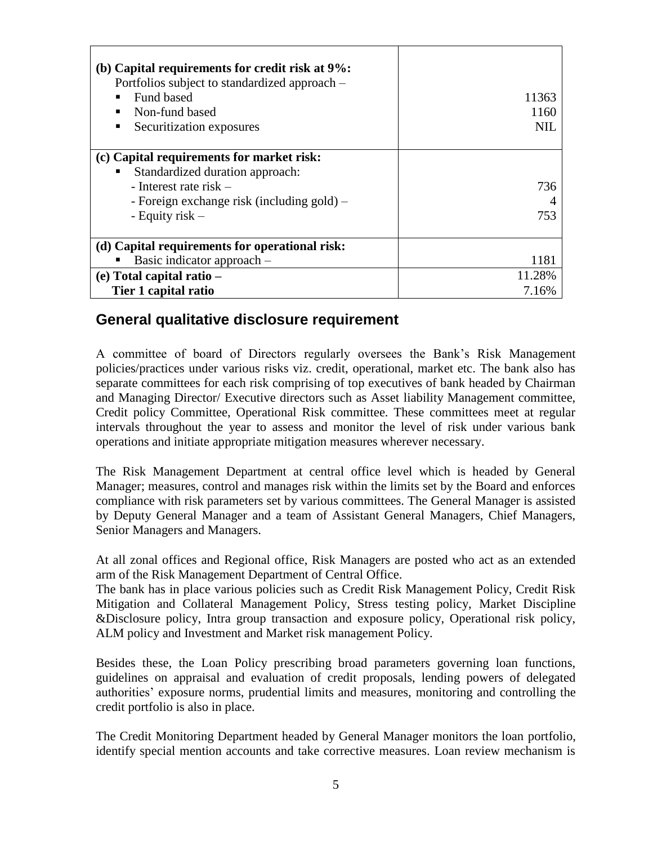| (b) Capital requirements for credit risk at 9%:<br>Portfolios subject to standardized approach –<br><b>Fund based</b><br>Non-fund based<br>Securitization exposures         | 11363<br>1160<br>NIL.   |
|-----------------------------------------------------------------------------------------------------------------------------------------------------------------------------|-------------------------|
| (c) Capital requirements for market risk:<br>Standardized duration approach:<br>- Interest rate risk $-$<br>- Foreign exchange risk (including gold) –<br>- Equity risk $-$ | 736<br>753              |
| (d) Capital requirements for operational risk:<br>Basic indicator approach –<br>$(e)$ Total capital ratio $-$<br>Tier 1 capital ratio                                       | 1181<br>11.28%<br>7.16% |

# **General qualitative disclosure requirement**

A committee of board of Directors regularly oversees the Bank"s Risk Management policies/practices under various risks viz. credit, operational, market etc. The bank also has separate committees for each risk comprising of top executives of bank headed by Chairman and Managing Director/ Executive directors such as Asset liability Management committee, Credit policy Committee, Operational Risk committee. These committees meet at regular intervals throughout the year to assess and monitor the level of risk under various bank operations and initiate appropriate mitigation measures wherever necessary.

The Risk Management Department at central office level which is headed by General Manager; measures, control and manages risk within the limits set by the Board and enforces compliance with risk parameters set by various committees. The General Manager is assisted by Deputy General Manager and a team of Assistant General Managers, Chief Managers, Senior Managers and Managers.

At all zonal offices and Regional office, Risk Managers are posted who act as an extended arm of the Risk Management Department of Central Office.

The bank has in place various policies such as Credit Risk Management Policy, Credit Risk Mitigation and Collateral Management Policy, Stress testing policy, Market Discipline &Disclosure policy, Intra group transaction and exposure policy, Operational risk policy, ALM policy and Investment and Market risk management Policy.

Besides these, the Loan Policy prescribing broad parameters governing loan functions, guidelines on appraisal and evaluation of credit proposals, lending powers of delegated authorities" exposure norms, prudential limits and measures, monitoring and controlling the credit portfolio is also in place.

The Credit Monitoring Department headed by General Manager monitors the loan portfolio, identify special mention accounts and take corrective measures. Loan review mechanism is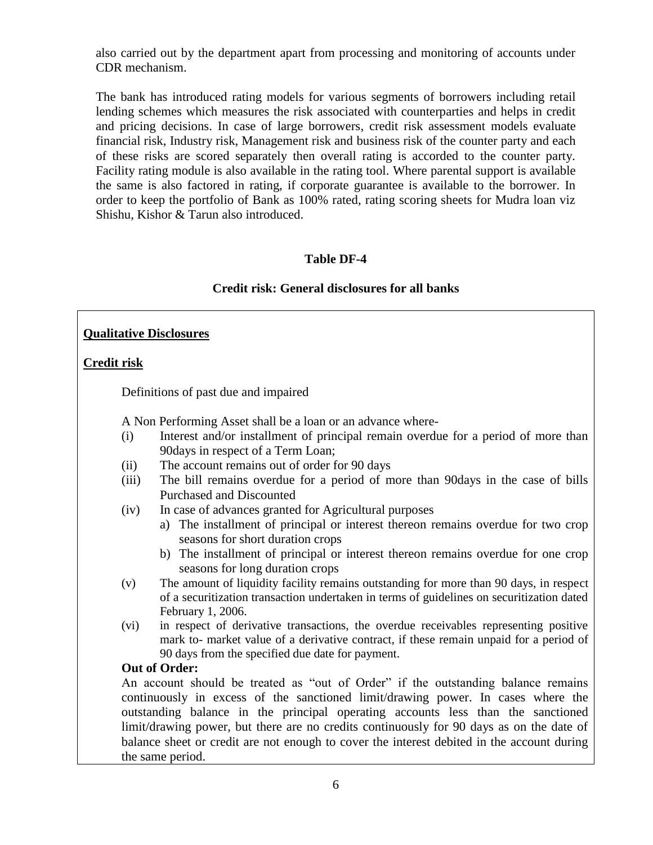also carried out by the department apart from processing and monitoring of accounts under CDR mechanism.

The bank has introduced rating models for various segments of borrowers including retail lending schemes which measures the risk associated with counterparties and helps in credit and pricing decisions. In case of large borrowers, credit risk assessment models evaluate financial risk, Industry risk, Management risk and business risk of the counter party and each of these risks are scored separately then overall rating is accorded to the counter party. Facility rating module is also available in the rating tool. Where parental support is available the same is also factored in rating, if corporate guarantee is available to the borrower. In order to keep the portfolio of Bank as 100% rated, rating scoring sheets for Mudra loan viz Shishu, Kishor & Tarun also introduced.

# **Table DF-4**

#### **Credit risk: General disclosures for all banks**

#### **Qualitative Disclosures**

#### **Credit risk**

Definitions of past due and impaired

A Non Performing Asset shall be a loan or an advance where-

- (i) Interest and/or installment of principal remain overdue for a period of more than 90days in respect of a Term Loan;
- (ii) The account remains out of order for 90 days
- (iii) The bill remains overdue for a period of more than 90days in the case of bills Purchased and Discounted
- (iv) In case of advances granted for Agricultural purposes
	- a) The installment of principal or interest thereon remains overdue for two crop seasons for short duration crops
	- b) The installment of principal or interest thereon remains overdue for one crop seasons for long duration crops
- (v) The amount of liquidity facility remains outstanding for more than 90 days, in respect of a securitization transaction undertaken in terms of guidelines on securitization dated February 1, 2006.
- (vi) in respect of derivative transactions, the overdue receivables representing positive mark to- market value of a derivative contract, if these remain unpaid for a period of 90 days from the specified due date for payment.

#### **Out of Order:**

 An account should be treated as "out of Order" if the outstanding balance remains continuously in excess of the sanctioned limit/drawing power. In cases where the outstanding balance in the principal operating accounts less than the sanctioned limit/drawing power, but there are no credits continuously for 90 days as on the date of balance sheet or credit are not enough to cover the interest debited in the account during the same period.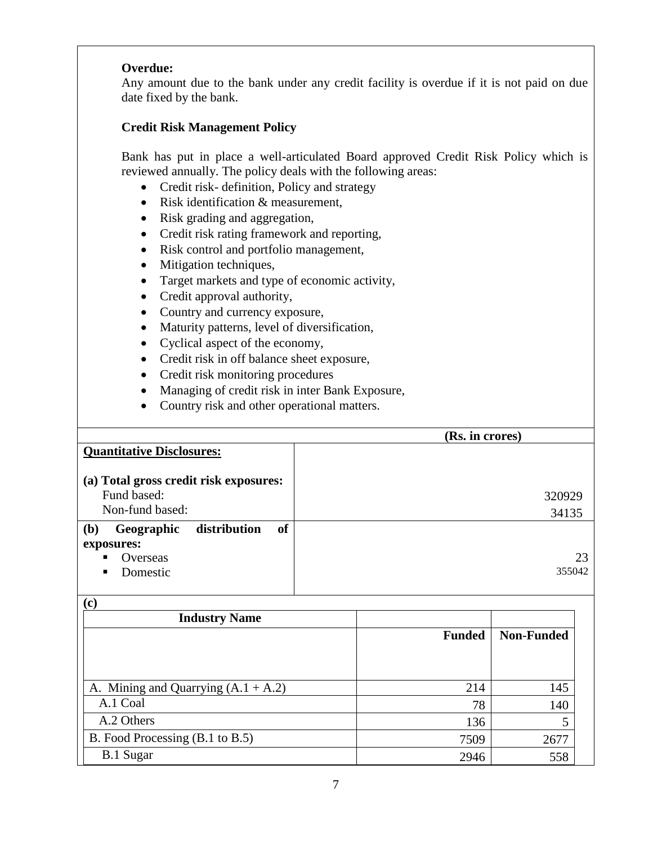#### **Overdue:**

Any amount due to the bank under any credit facility is overdue if it is not paid on due date fixed by the bank.

#### **Credit Risk Management Policy**

Bank has put in place a well-articulated Board approved Credit Risk Policy which is reviewed annually. The policy deals with the following areas:

- Credit risk- definition, Policy and strategy
- Risk identification & measurement,
- Risk grading and aggregation,
- Credit risk rating framework and reporting,
- Risk control and portfolio management,
- Mitigation techniques,
- Target markets and type of economic activity,
- Credit approval authority,
- Country and currency exposure,
- Maturity patterns, level of diversification,
- Cyclical aspect of the economy,
- Credit risk in off balance sheet exposure,
- Credit risk monitoring procedures
- Managing of credit risk in inter Bank Exposure,
- Country risk and other operational matters.

|                                                  | (Rs. in crores) |
|--------------------------------------------------|-----------------|
| <b>Quantitative Disclosures:</b>                 |                 |
|                                                  |                 |
| (a) Total gross credit risk exposures:           |                 |
| Fund based:                                      | 320929          |
| Non-fund based:                                  | 34135           |
| of<br>distribution<br>Geographic<br>( <b>b</b> ) |                 |
| exposures:                                       |                 |
| Overseas<br>п                                    |                 |
| Domestic<br>п                                    | 355042          |
|                                                  |                 |

 $(n)$ 

| <b>Industry Name</b>                  |               |                   |
|---------------------------------------|---------------|-------------------|
|                                       | <b>Funded</b> | <b>Non-Funded</b> |
|                                       |               |                   |
|                                       |               |                   |
| A. Mining and Quarrying $(A.1 + A.2)$ | 214           | 145               |
| A.1 Coal                              | 78            | 140               |
| A.2 Others                            | 136           | 5                 |
| B. Food Processing (B.1 to B.5)       | 7509          | 2677              |
| <b>B.1 Sugar</b>                      | 2946          | 558               |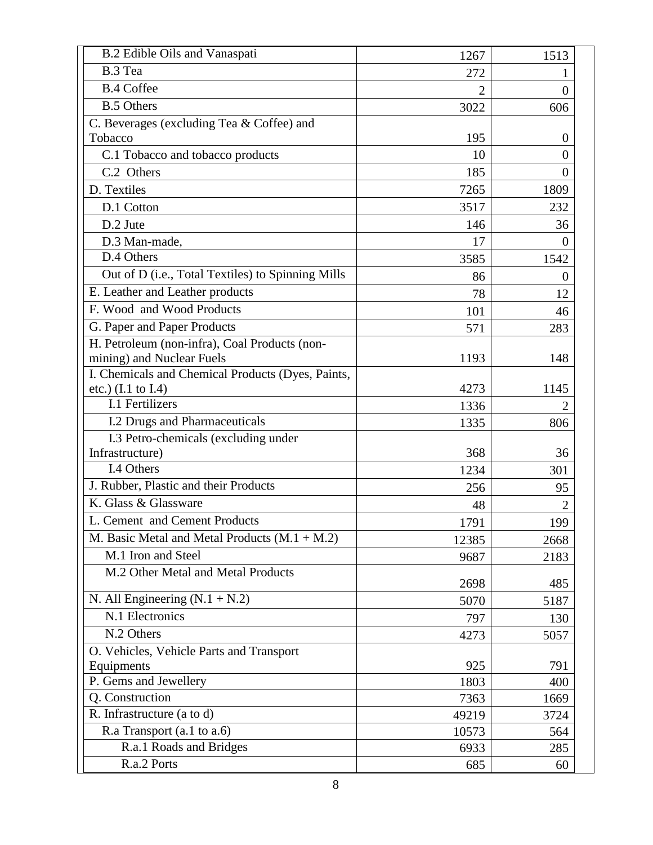| <b>B.2 Edible Oils and Vanaspati</b>              | 1267           | 1513     |
|---------------------------------------------------|----------------|----------|
| B.3 Tea                                           | 272            |          |
| <b>B.4 Coffee</b>                                 | $\overline{2}$ | $_{0}$   |
| <b>B.5 Others</b>                                 | 3022           | 606      |
| C. Beverages (excluding Tea & Coffee) and         |                |          |
| Tobacco                                           | 195            | $\theta$ |
| C.1 Tobacco and tobacco products                  | 10             | $_{0}$   |
| C.2 Others                                        | 185            | $\theta$ |
| D. Textiles                                       | 7265           | 1809     |
| D.1 Cotton                                        | 3517           | 232      |
| D.2 Jute                                          | 146            | 36       |
| D.3 Man-made,                                     | 17             | $\Omega$ |
| D.4 Others                                        | 3585           | 1542     |
| Out of D (i.e., Total Textiles) to Spinning Mills | 86             | $\Omega$ |
| E. Leather and Leather products                   | 78             | 12       |
| F. Wood and Wood Products                         | 101            | 46       |
| G. Paper and Paper Products                       | 571            | 283      |
| H. Petroleum (non-infra), Coal Products (non-     |                |          |
| mining) and Nuclear Fuels                         | 1193           | 148      |
| I. Chemicals and Chemical Products (Dyes, Paints, |                |          |
| etc.) $(I.1 \text{ to } I.4)$                     | 4273           | 1145     |
| I.1 Fertilizers                                   | 1336           |          |
| I.2 Drugs and Pharmaceuticals                     | 1335           | 806      |
| I.3 Petro-chemicals (excluding under              |                |          |
| Infrastructure)                                   | 368            | 36       |
| I.4 Others                                        | 1234           | 301      |
| J. Rubber, Plastic and their Products             | 256            | 95       |
| K. Glass & Glassware                              | 48             |          |
| L. Cement and Cement Products                     | 1791           | 199      |
| M. Basic Metal and Metal Products $(M.1 + M.2)$   | 12385          | 2668     |
| M.1 Iron and Steel                                | 9687           | 2183     |
| M.2 Other Metal and Metal Products                | 2698           | 485      |
| N. All Engineering $(N.1 + N.2)$                  | 5070           | 5187     |
| N.1 Electronics                                   | 797            | 130      |
| N.2 Others                                        | 4273           | 5057     |
| O. Vehicles, Vehicle Parts and Transport          |                |          |
| Equipments                                        | 925            | 791      |
| P. Gems and Jewellery                             | 1803           | 400      |
| Q. Construction                                   | 7363           | 1669     |
| R. Infrastructure (a to d)                        | 49219          | 3724     |
| R.a Transport (a.1 to a.6)                        | 10573          | 564      |
| R.a.1 Roads and Bridges                           | 6933           | 285      |
| R.a.2 Ports                                       | 685            | 60       |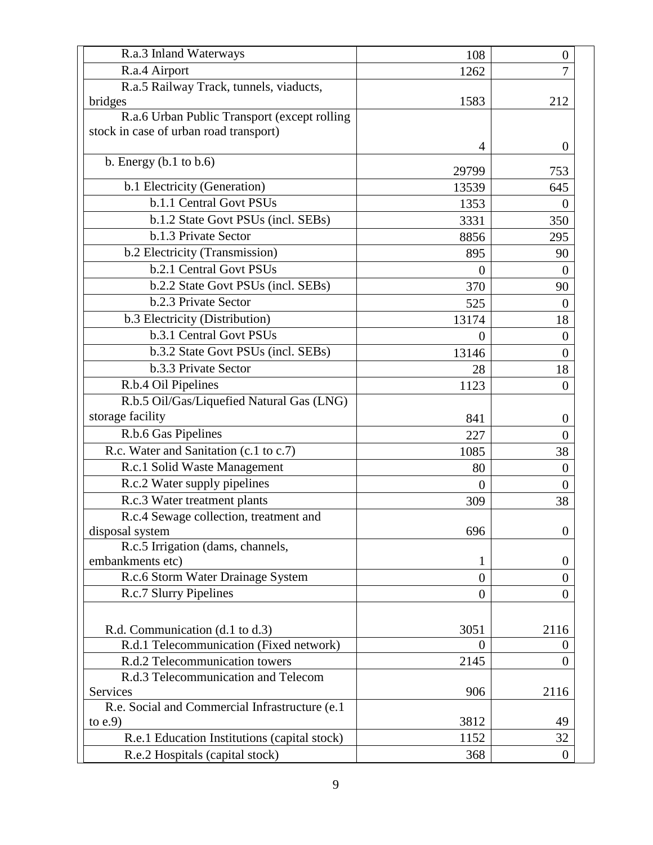| R.a.3 Inland Waterways                          | 108            | $\boldsymbol{0}$ |
|-------------------------------------------------|----------------|------------------|
| R.a.4 Airport                                   | 1262           | 7                |
| R.a.5 Railway Track, tunnels, viaducts,         |                |                  |
| bridges                                         | 1583           | 212              |
| R.a.6 Urban Public Transport (except rolling    |                |                  |
| stock in case of urban road transport)          |                |                  |
|                                                 | 4              | $\theta$         |
| b. Energy $(b.1 to b.6)$                        | 29799          | 753              |
| b.1 Electricity (Generation)                    | 13539          | 645              |
| b.1.1 Central Govt PSUs                         | 1353           | $\Omega$         |
| b.1.2 State Govt PSUs (incl. SEBs)              | 3331           | 350              |
| b.1.3 Private Sector                            | 8856           | 295              |
| b.2 Electricity (Transmission)                  | 895            | 90               |
| b.2.1 Central Govt PSUs                         | $\theta$       | $\theta$         |
| <b>b.2.2</b> State Govt PSUs (incl. SEBs)       | 370            | 90               |
| b.2.3 Private Sector                            | 525            | $\theta$         |
| b.3 Electricity (Distribution)                  | 13174          | 18               |
| b.3.1 Central Govt PSUs                         | $\overline{0}$ | $\theta$         |
| b.3.2 State Govt PSUs (incl. SEBs)              | 13146          | $\theta$         |
| b.3.3 Private Sector                            | 28             | 18               |
| R.b.4 Oil Pipelines                             | 1123           | $\theta$         |
| R.b.5 Oil/Gas/Liquefied Natural Gas (LNG)       |                |                  |
| storage facility                                | 841            | $\Omega$         |
| R.b.6 Gas Pipelines                             | 227            | $\overline{0}$   |
| R.c. Water and Sanitation (c.1 to c.7)          | 1085           | 38               |
| R.c.1 Solid Waste Management                    | 80             | $\Omega$         |
| R.c.2 Water supply pipelines                    | $\theta$       | $\Omega$         |
| R.c.3 Water treatment plants                    | 309            | 38               |
| R.c.4 Sewage collection, treatment and          |                |                  |
| disposal system                                 | 696            | $\overline{0}$   |
| R.c.5 Irrigation (dams, channels,               |                |                  |
| embankments etc)                                | 1              | $\theta$         |
| R.c.6 Storm Water Drainage System               | $\overline{0}$ | 0                |
| R.c.7 Slurry Pipelines                          | $\overline{0}$ | $\overline{0}$   |
|                                                 |                |                  |
| R.d. Communication (d.1 to d.3)                 | 3051           | 2116             |
| R.d.1 Telecommunication (Fixed network)         | $\theta$       | $\theta$         |
| R.d.2 Telecommunication towers                  | 2145           | 0                |
| R.d.3 Telecommunication and Telecom             |                |                  |
| Services                                        | 906            | 2116             |
| R.e. Social and Commercial Infrastructure (e.1) |                |                  |
| to $e.9$                                        | 3812           | 49               |
| R.e.1 Education Institutions (capital stock)    | 1152           | 32               |
| R.e.2 Hospitals (capital stock)                 | 368            | $\theta$         |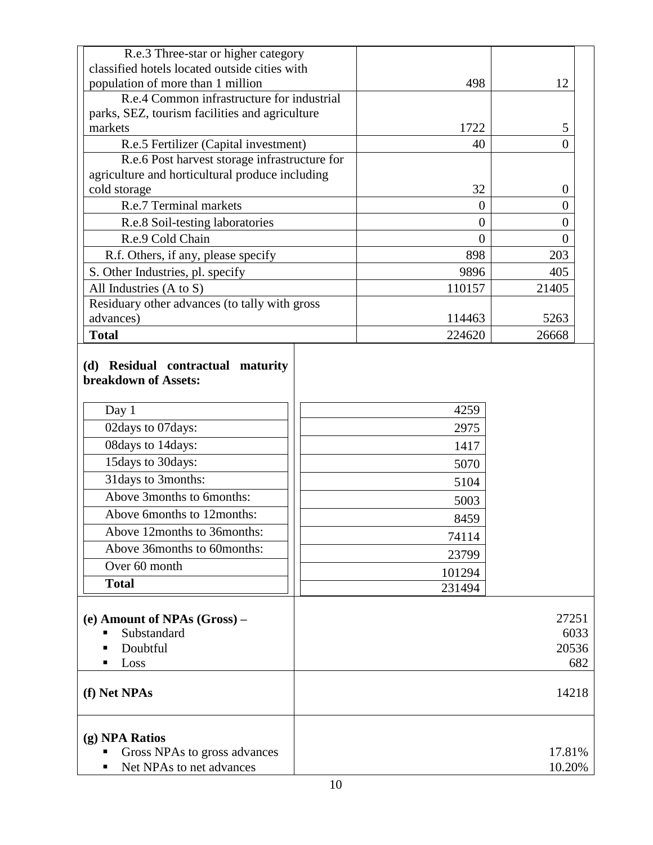| R.e.3 Three-star or higher category<br>classified hotels located outside cities with                                                                                                                                                   |                                                                                  |                               |
|----------------------------------------------------------------------------------------------------------------------------------------------------------------------------------------------------------------------------------------|----------------------------------------------------------------------------------|-------------------------------|
| population of more than 1 million                                                                                                                                                                                                      | 498                                                                              | 12                            |
| R.e.4 Common infrastructure for industrial                                                                                                                                                                                             |                                                                                  |                               |
| parks, SEZ, tourism facilities and agriculture                                                                                                                                                                                         |                                                                                  |                               |
| markets                                                                                                                                                                                                                                | 1722                                                                             | 5                             |
| R.e.5 Fertilizer (Capital investment)                                                                                                                                                                                                  | 40                                                                               | $\overline{0}$                |
| R.e.6 Post harvest storage infrastructure for                                                                                                                                                                                          |                                                                                  |                               |
| agriculture and horticultural produce including                                                                                                                                                                                        |                                                                                  |                               |
| cold storage                                                                                                                                                                                                                           | 32                                                                               | $\overline{0}$                |
| R.e.7 Terminal markets                                                                                                                                                                                                                 | $\boldsymbol{0}$                                                                 | 0                             |
| R.e.8 Soil-testing laboratories                                                                                                                                                                                                        | $\overline{0}$                                                                   | $\overline{0}$                |
| R.e.9 Cold Chain                                                                                                                                                                                                                       | $\overline{0}$                                                                   | $\overline{0}$                |
| R.f. Others, if any, please specify                                                                                                                                                                                                    | 898                                                                              | 203                           |
| S. Other Industries, pl. specify                                                                                                                                                                                                       | 9896                                                                             | 405                           |
| All Industries (A to S)                                                                                                                                                                                                                | 110157                                                                           | 21405                         |
| Residuary other advances (to tally with gross                                                                                                                                                                                          |                                                                                  |                               |
| advances)                                                                                                                                                                                                                              | 114463                                                                           | 5263                          |
| <b>Total</b>                                                                                                                                                                                                                           | 224620                                                                           | 26668                         |
| Day 1<br>02days to 07days:<br>08days to 14days:<br>15days to 30days:<br>31 days to 3 months:<br>Above 3months to 6months:<br>Above 6months to 12months:<br>Above 12months to 36months:<br>Above 36months to 60months:<br>Over 60 month | 4259<br>2975<br>1417<br>5070<br>5104<br>5003<br>8459<br>74114<br>23799<br>101294 |                               |
| <b>Total</b>                                                                                                                                                                                                                           | 231494                                                                           |                               |
| (e) Amount of NPAs (Gross) –<br>Substandard<br>Doubtful<br>Loss                                                                                                                                                                        |                                                                                  | 27251<br>6033<br>20536<br>682 |
| (f) Net NPAs                                                                                                                                                                                                                           |                                                                                  | 14218                         |
| (g) NPA Ratios<br>Gross NPAs to gross advances<br>Net NPAs to net advances                                                                                                                                                             |                                                                                  | 17.81%<br>10.20%              |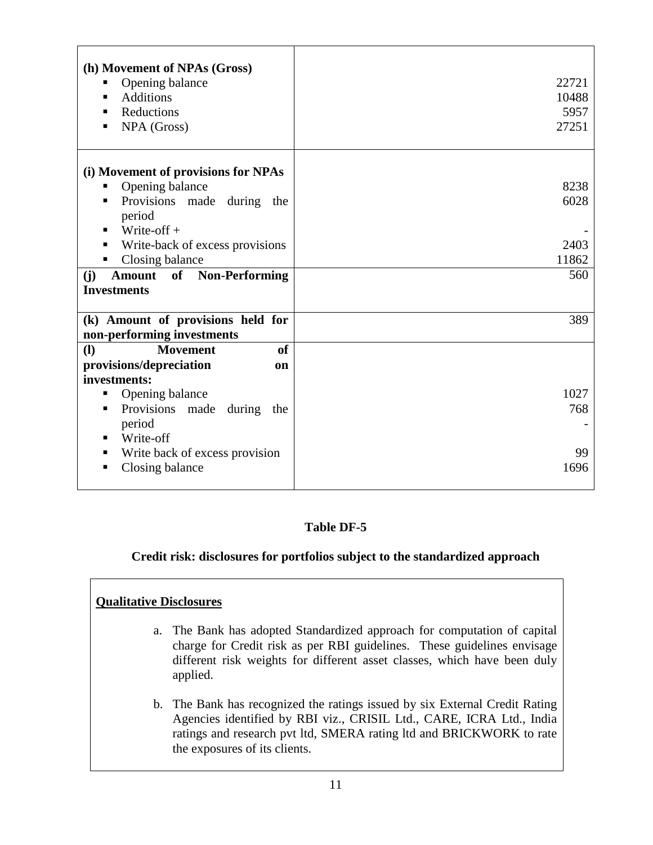| (h) Movement of NPAs (Gross)<br>Opening balance<br>ш<br><b>Additions</b><br>Reductions<br>NPA (Gross)<br>п                   | 22721<br>10488<br>5957<br>27251 |
|------------------------------------------------------------------------------------------------------------------------------|---------------------------------|
| (i) Movement of provisions for NPAs<br>Opening balance<br>ш<br>Provisions made<br>during the<br>п<br>period<br>Write-off $+$ | 8238<br>6028                    |
| Write-back of excess provisions<br>п<br>Closing balance<br>п                                                                 | 2403<br>11862                   |
| <b>Non-Performing</b><br>(j)<br>of<br><b>Amount</b><br><b>Investments</b>                                                    | 560                             |
| (k) Amount of provisions held for<br>non-performing investments                                                              | 389                             |
| <b>(I)</b><br><b>Movement</b><br><sub>of</sub>                                                                               |                                 |
| provisions/depreciation<br>on                                                                                                |                                 |
| investments:                                                                                                                 |                                 |
|                                                                                                                              |                                 |
| Opening balance<br>п                                                                                                         | 1027                            |
| Provisions made<br>during<br>п<br>the<br>period<br>п                                                                         | 768                             |
| Write-off<br>Write back of excess provision<br>п                                                                             | 99                              |

# **Table DF-5**

#### **Credit risk: disclosures for portfolios subject to the standardized approach**

#### **Qualitative Disclosures**

- a. The Bank has adopted Standardized approach for computation of capital charge for Credit risk as per RBI guidelines. These guidelines envisage different risk weights for different asset classes, which have been duly applied.
- b. The Bank has recognized the ratings issued by six External Credit Rating Agencies identified by RBI viz., CRISIL Ltd., CARE, ICRA Ltd., India ratings and research pvt ltd, SMERA rating ltd and BRICKWORK to rate the exposures of its clients.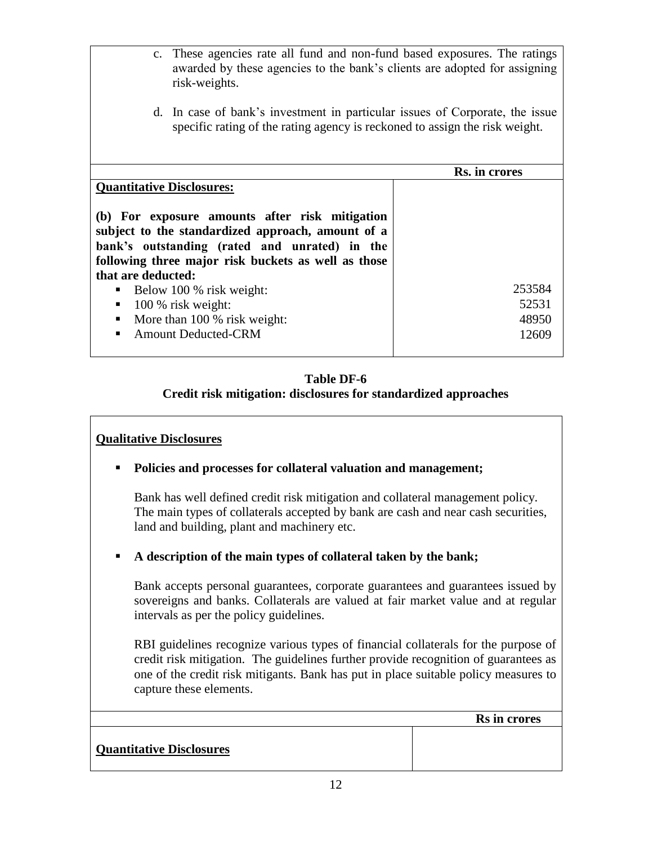- c. These agencies rate all fund and non-fund based exposures. The ratings awarded by these agencies to the bank"s clients are adopted for assigning risk-weights.
- d. In case of bank"s investment in particular issues of Corporate, the issue specific rating of the rating agency is reckoned to assign the risk weight.

|                                                                                                                                                                                                                                   | Rs. in crores |
|-----------------------------------------------------------------------------------------------------------------------------------------------------------------------------------------------------------------------------------|---------------|
| <b>Quantitative Disclosures:</b>                                                                                                                                                                                                  |               |
| (b) For exposure amounts after risk mitigation<br>subject to the standardized approach, amount of a<br>bank's outstanding (rated and unrated) in the<br>following three major risk buckets as well as those<br>that are deducted: |               |
| $\blacksquare$ Below 100 % risk weight:                                                                                                                                                                                           | 253584        |
| $\blacksquare$ 100 % risk weight:                                                                                                                                                                                                 | 52531         |
| More than 100 % risk weight:                                                                                                                                                                                                      | 48950         |
| • Amount Deducted-CRM                                                                                                                                                                                                             | 12609         |
|                                                                                                                                                                                                                                   |               |

#### **Table DF-6 Credit risk mitigation: disclosures for standardized approaches**

# **Qualitative Disclosures**

**Policies and processes for collateral valuation and management;**

Bank has well defined credit risk mitigation and collateral management policy. The main types of collaterals accepted by bank are cash and near cash securities, land and building, plant and machinery etc.

**A description of the main types of collateral taken by the bank;**

Bank accepts personal guarantees, corporate guarantees and guarantees issued by sovereigns and banks. Collaterals are valued at fair market value and at regular intervals as per the policy guidelines.

RBI guidelines recognize various types of financial collaterals for the purpose of credit risk mitigation. The guidelines further provide recognition of guarantees as one of the credit risk mitigants. Bank has put in place suitable policy measures to capture these elements.

 **Rs in crores**

**Quantitative Disclosures**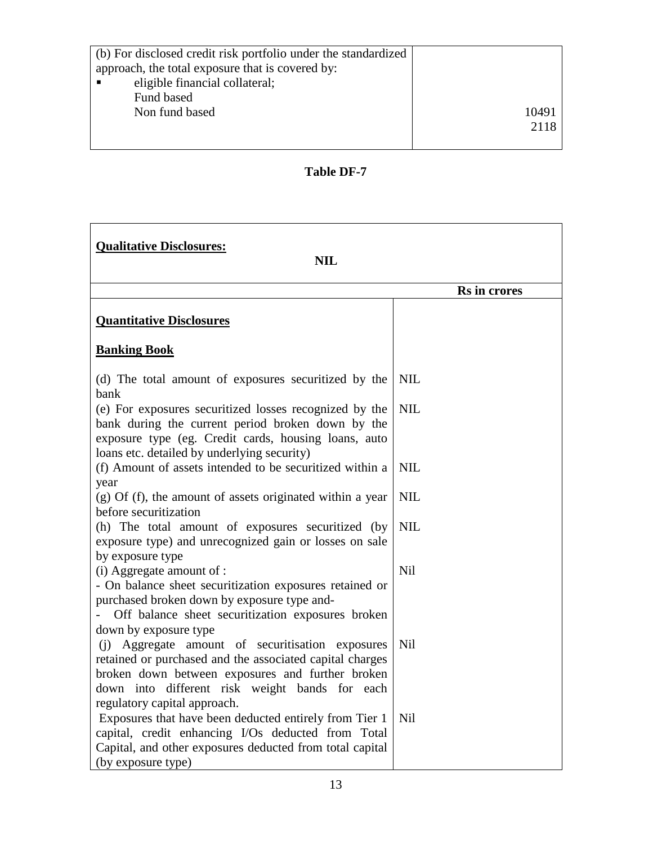| (b) For disclosed credit risk portfolio under the standardized |      |
|----------------------------------------------------------------|------|
| approach, the total exposure that is covered by:               |      |
| eligible financial collateral;                                 |      |
| Fund based                                                     |      |
| Non fund based                                                 | 1049 |
|                                                                | 2118 |
|                                                                |      |

# **Table DF-7**

| <b>Qualitative Disclosures:</b><br><b>NIL</b>                                                                                                                                                                                                                               |              |  |
|-----------------------------------------------------------------------------------------------------------------------------------------------------------------------------------------------------------------------------------------------------------------------------|--------------|--|
|                                                                                                                                                                                                                                                                             | Rs in crores |  |
| <b>Quantitative Disclosures</b>                                                                                                                                                                                                                                             |              |  |
| <b>Banking Book</b>                                                                                                                                                                                                                                                         |              |  |
| (d) The total amount of exposures securitized by the<br>bank                                                                                                                                                                                                                | <b>NIL</b>   |  |
| (e) For exposures securitized losses recognized by the<br>bank during the current period broken down by the<br>exposure type (eg. Credit cards, housing loans, auto<br>loans etc. detailed by underlying security)                                                          | <b>NIL</b>   |  |
| (f) Amount of assets intended to be securitized within a<br>year                                                                                                                                                                                                            | <b>NIL</b>   |  |
| $(g)$ Of (f), the amount of assets originated within a year<br>before securitization                                                                                                                                                                                        | <b>NIL</b>   |  |
| (h) The total amount of exposures securitized (by<br>exposure type) and unrecognized gain or losses on sale<br>by exposure type                                                                                                                                             | <b>NIL</b>   |  |
| (i) Aggregate amount of :<br>- On balance sheet securitization exposures retained or<br>purchased broken down by exposure type and-<br>Off balance sheet securitization exposures broken                                                                                    | Nil          |  |
| down by exposure type<br>(j) Aggregate amount of securitisation exposures<br>retained or purchased and the associated capital charges<br>broken down between exposures and further broken<br>down into different risk weight bands for each<br>regulatory capital approach. | Nil          |  |
| Exposures that have been deducted entirely from Tier 1<br>capital, credit enhancing I/Os deducted from Total<br>Capital, and other exposures deducted from total capital<br>(by exposure type)                                                                              | Nil          |  |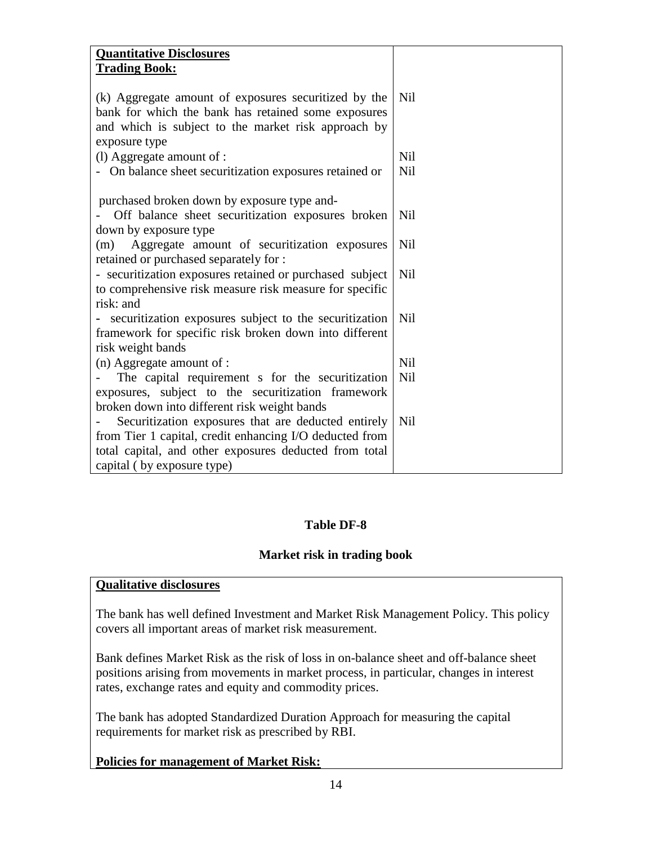| <b>Quantitative Disclosures</b>                          |            |
|----------------------------------------------------------|------------|
| <b>Trading Book:</b>                                     |            |
|                                                          |            |
| (k) Aggregate amount of exposures securitized by the     | Nil        |
| bank for which the bank has retained some exposures      |            |
| and which is subject to the market risk approach by      |            |
| exposure type                                            |            |
| (l) Aggregate amount of :                                | Nil        |
| - On balance sheet securitization exposures retained or  | <b>Nil</b> |
|                                                          |            |
| purchased broken down by exposure type and-              |            |
| Off balance sheet securitization exposures broken        | Nil        |
| down by exposure type                                    |            |
| Aggregate amount of securitization exposures<br>(m)      | Nil        |
| retained or purchased separately for :                   |            |
| - securitization exposures retained or purchased subject | Nil        |
| to comprehensive risk measure risk measure for specific  |            |
| risk: and                                                |            |
| - securitization exposures subject to the securitization | <b>Nil</b> |
| framework for specific risk broken down into different   |            |
| risk weight bands                                        |            |
| (n) Aggregate amount of :                                | <b>Nil</b> |
| The capital requirement s for the securitization         | Nil        |
| exposures, subject to the securitization framework       |            |
| broken down into different risk weight bands             |            |
| Securitization exposures that are deducted entirely      | <b>Nil</b> |
| from Tier 1 capital, credit enhancing I/O deducted from  |            |
| total capital, and other exposures deducted from total   |            |
| capital (by exposure type)                               |            |
|                                                          |            |

#### **Table DF-8**

#### **Market risk in trading book**

#### **Qualitative disclosures**

The bank has well defined Investment and Market Risk Management Policy. This policy covers all important areas of market risk measurement.

Bank defines Market Risk as the risk of loss in on-balance sheet and off-balance sheet positions arising from movements in market process, in particular, changes in interest rates, exchange rates and equity and commodity prices.

The bank has adopted Standardized Duration Approach for measuring the capital requirements for market risk as prescribed by RBI.

#### **Policies for management of Market Risk:**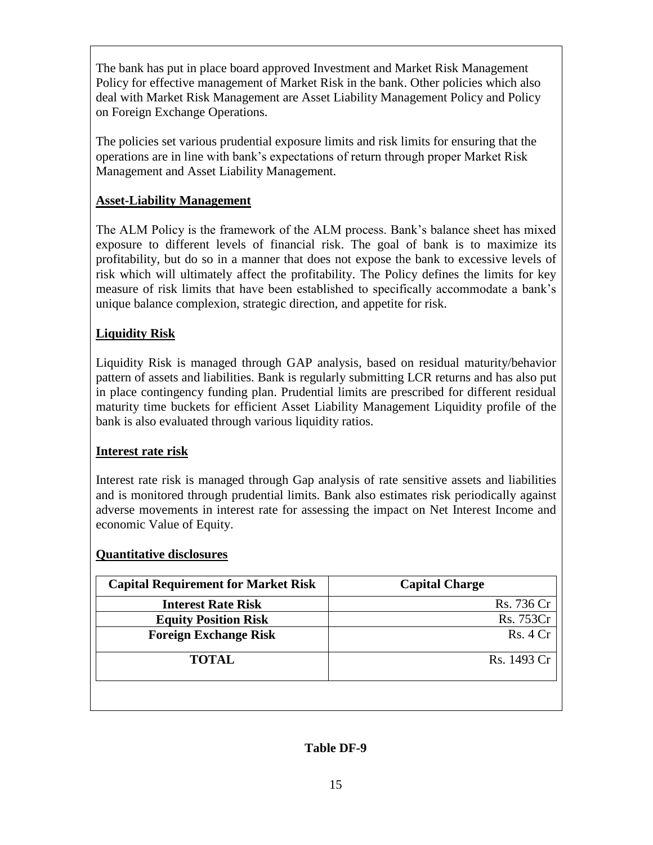The bank has put in place board approved Investment and Market Risk Management Policy for effective management of Market Risk in the bank. Other policies which also deal with Market Risk Management are Asset Liability Management Policy and Policy on Foreign Exchange Operations.

The policies set various prudential exposure limits and risk limits for ensuring that the operations are in line with bank"s expectations of return through proper Market Risk Management and Asset Liability Management.

#### **Asset-Liability Management**

The ALM Policy is the framework of the ALM process. Bank"s balance sheet has mixed exposure to different levels of financial risk. The goal of bank is to maximize its profitability, but do so in a manner that does not expose the bank to excessive levels of risk which will ultimately affect the profitability. The Policy defines the limits for key measure of risk limits that have been established to specifically accommodate a bank"s unique balance complexion, strategic direction, and appetite for risk.

# **Liquidity Risk**

Liquidity Risk is managed through GAP analysis, based on residual maturity/behavior pattern of assets and liabilities. Bank is regularly submitting LCR returns and has also put in place contingency funding plan. Prudential limits are prescribed for different residual maturity time buckets for efficient Asset Liability Management Liquidity profile of the bank is also evaluated through various liquidity ratios.

#### **Interest rate risk**

Interest rate risk is managed through Gap analysis of rate sensitive assets and liabilities and is monitored through prudential limits. Bank also estimates risk periodically against adverse movements in interest rate for assessing the impact on Net Interest Income and economic Value of Equity.

#### **Quantitative disclosures**

| <b>Capital Requirement for Market Risk</b> | <b>Capital Charge</b> |
|--------------------------------------------|-----------------------|
| <b>Interest Rate Risk</b>                  | Rs. 736 Cr            |
| <b>Equity Position Risk</b>                | Rs. 753Cr             |
| <b>Foreign Exchange Risk</b>               | Rs.4Cr                |
| <b>TOTAL</b>                               | Rs. 1493 Cr           |
|                                            |                       |

#### **Table DF-9**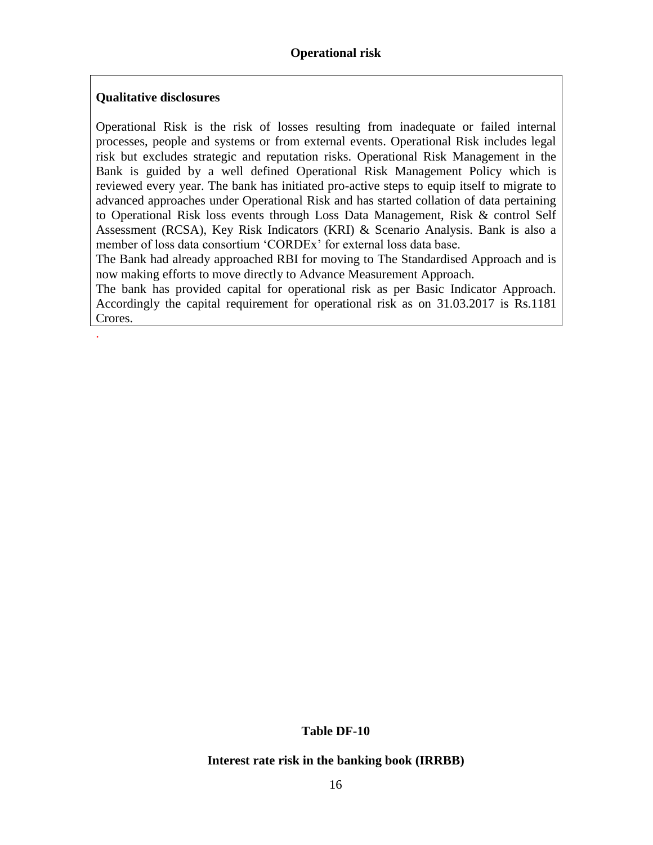#### **Qualitative disclosures**

.

Operational Risk is the risk of losses resulting from inadequate or failed internal processes, people and systems or from external events. Operational Risk includes legal risk but excludes strategic and reputation risks. Operational Risk Management in the Bank is guided by a well defined Operational Risk Management Policy which is reviewed every year. The bank has initiated pro-active steps to equip itself to migrate to advanced approaches under Operational Risk and has started collation of data pertaining to Operational Risk loss events through Loss Data Management, Risk & control Self Assessment (RCSA), Key Risk Indicators (KRI) & Scenario Analysis. Bank is also a member of loss data consortium 'CORDEx' for external loss data base.

The Bank had already approached RBI for moving to The Standardised Approach and is now making efforts to move directly to Advance Measurement Approach.

The bank has provided capital for operational risk as per Basic Indicator Approach. Accordingly the capital requirement for operational risk as on 31.03.2017 is Rs.1181 Crores.

#### **Table DF-10**

#### **Interest rate risk in the banking book (IRRBB)**